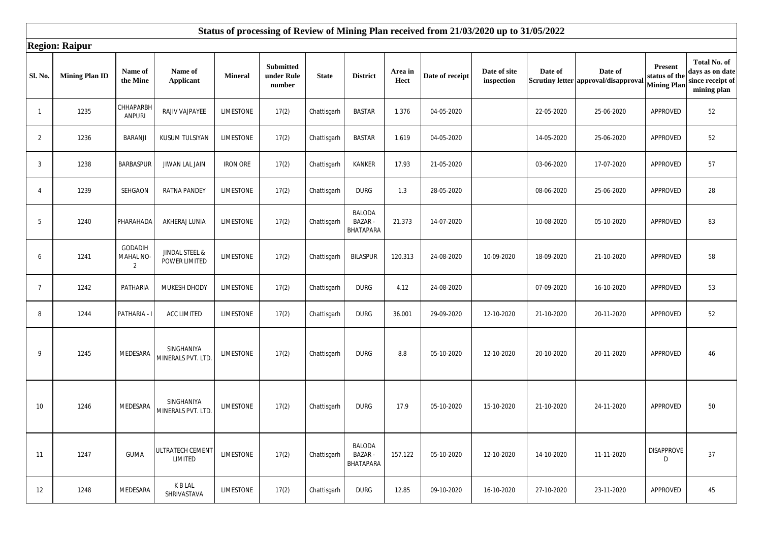|                | <b>Region: Raipur</b> |                                       |                                  |                  |                                          |              |                                             |                 |                 |                            |            |                                                 |                                                |                                                                    |
|----------------|-----------------------|---------------------------------------|----------------------------------|------------------|------------------------------------------|--------------|---------------------------------------------|-----------------|-----------------|----------------------------|------------|-------------------------------------------------|------------------------------------------------|--------------------------------------------------------------------|
| Sl. No.        | <b>Mining Plan ID</b> | Name of<br>the Mine                   | Name of<br><b>Applicant</b>      | <b>Mineral</b>   | <b>Submitted</b><br>under Rule<br>number | <b>State</b> | <b>District</b>                             | Area in<br>Hect | Date of receipt | Date of site<br>inspection | Date of    | Date of<br>Scrutiny letter approval/disapproval | Present<br>status of the<br><b>Mining Plar</b> | Total No. of<br>days as on date<br>since receipt of<br>mining plan |
| $\mathbf{1}$   | 1235                  | CHHAPARBH<br><b>ANPURI</b>            | RAJIV VAJPAYEE                   | <b>LIMESTONE</b> | 17(2)                                    | Chattisgarh  | <b>BASTAR</b>                               | 1.376           | 04-05-2020      |                            | 22-05-2020 | 25-06-2020                                      | APPROVED                                       | 52                                                                 |
| 2              | 1236                  | BARANJI                               | <b>KUSUM TULSIYAN</b>            | LIMESTONE        | 17(2)                                    | Chattisgarh  | <b>BASTAR</b>                               | 1.619           | 04-05-2020      |                            | 14-05-2020 | 25-06-2020                                      | APPROVED                                       | 52                                                                 |
| 3              | 1238                  | <b>BARBASPUR</b>                      | JIWAN LAL JAIN                   | <b>IRON ORE</b>  | 17(2)                                    | Chattisgarh  | <b>KANKER</b>                               | 17.93           | 21-05-2020      |                            | 03-06-2020 | 17-07-2020                                      | APPROVED                                       | 57                                                                 |
| $\overline{4}$ | 1239                  | SEHGAON                               | <b>RATNA PANDEY</b>              | <b>LIMESTONE</b> | 17(2)                                    | Chattisgarh  | <b>DURG</b>                                 | 1.3             | 28-05-2020      |                            | 08-06-2020 | 25-06-2020                                      | APPROVED                                       | 28                                                                 |
| 5              | 1240                  | PHARAHADA                             | AKHERAJ LUNIA                    | <b>LIMESTONE</b> | 17(2)                                    | Chattisgarh  | <b>BALODA</b><br><b>BAZAR-</b><br>BHATAPARA | 21.373          | 14-07-2020      |                            | 10-08-2020 | 05-10-2020                                      | <b>APPROVED</b>                                | 83                                                                 |
| 6              | 1241                  | GODADIH<br>MAHAL NO<br>$\overline{2}$ | JINDAL STEEL &<br>POWER LIMITED  | <b>LIMESTONE</b> | 17(2)                                    | Chattisgarh  | <b>BILASPUR</b>                             | 120.313         | 24-08-2020      | 10-09-2020                 | 18-09-2020 | 21-10-2020                                      | APPROVED                                       | 58                                                                 |
| $\overline{7}$ | 1242                  | PATHARIA                              | MUKESH DHODY                     | LIMESTONE        | 17(2)                                    | Chattisgarh  | <b>DURG</b>                                 | 4.12            | 24-08-2020      |                            | 07-09-2020 | 16-10-2020                                      | APPROVED                                       | 53                                                                 |
| 8              | 1244                  | PATHARIA -                            | <b>ACC LIMITED</b>               | <b>LIMESTONE</b> | 17(2)                                    | Chattisgarh  | <b>DURG</b>                                 | 36.001          | 29-09-2020      | 12-10-2020                 | 21-10-2020 | 20-11-2020                                      | APPROVED                                       | 52                                                                 |
| 9              | 1245                  | MEDESARA                              | SINGHANIYA<br>MINERALS PVT. LTD. | <b>LIMESTONE</b> | 17(2)                                    | Chattisgarh  | <b>DURG</b>                                 | 8.8             | 05-10-2020      | 12-10-2020                 | 20-10-2020 | 20-11-2020                                      | APPROVED                                       | 46                                                                 |
| 10             | 1246                  | MEDESARA                              | SINGHANIYA<br>MINERALS PVT. LTD. | <b>LIMESTONE</b> | 17(2)                                    | Chattisgarh  | <b>DURG</b>                                 | 17.9            | 05-10-2020      | 15-10-2020                 | 21-10-2020 | 24-11-2020                                      | APPROVED                                       | 50                                                                 |
| 11             | 1247                  | <b>GUMA</b>                           | ULTRATECH CEMENT<br>LIMITED      | <b>LIMESTONE</b> | 17(2)                                    | Chattisgarh  | <b>BALODA</b><br><b>BAZAR-</b><br>BHATAPARA | 157.122         | 05-10-2020      | 12-10-2020                 | 14-10-2020 | 11-11-2020                                      | <b>DISAPPROVE</b><br>D                         | 37                                                                 |
| 12             | 1248                  | MEDESARA                              | K B LAL<br>SHRIVASTAVA           | LIMESTONE        | 17(2)                                    | Chattisgarh  | <b>DURG</b>                                 | 12.85           | 09-10-2020      | 16-10-2020                 | 27-10-2020 | 23-11-2020                                      | APPROVED                                       | 45                                                                 |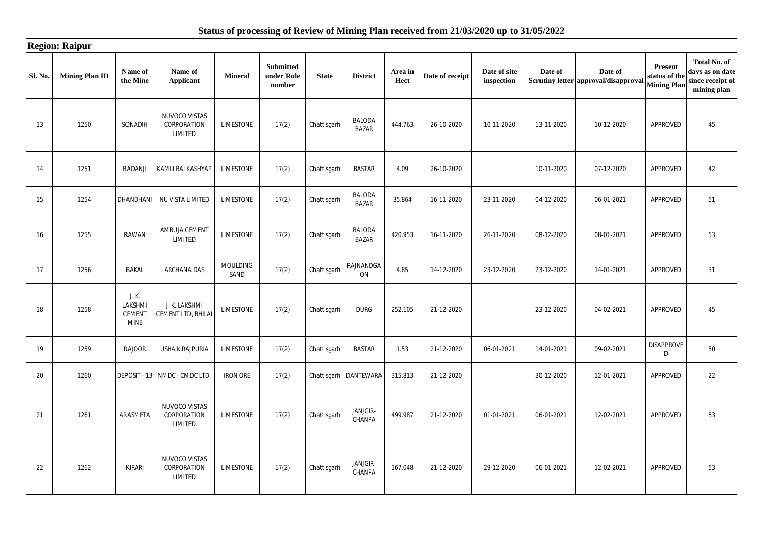|         | <b>Region: Raipur</b> |                                           |                                         |                         |                                          |              |                               |                 |                 |                            |            |                                                 |                                                |                                                                    |
|---------|-----------------------|-------------------------------------------|-----------------------------------------|-------------------------|------------------------------------------|--------------|-------------------------------|-----------------|-----------------|----------------------------|------------|-------------------------------------------------|------------------------------------------------|--------------------------------------------------------------------|
| Sl. No. | <b>Mining Plan ID</b> | Name of<br>the Mine                       | Name of<br><b>Applicant</b>             | <b>Mineral</b>          | <b>Submitted</b><br>under Rule<br>number | <b>State</b> | <b>District</b>               | Area in<br>Hect | Date of receipt | Date of site<br>inspection | Date of    | Date of<br>Scrutiny letter approval/disapproval | Present<br>status of the<br><b>Mining Plan</b> | Total No. of<br>days as on date<br>since receipt of<br>mining plan |
| 13      | 1250                  | SONADIH                                   | NUVOCO VISTAS<br>CORPORATION<br>LIMITED | <b>LIMESTONE</b>        | 17(2)                                    | Chattisgarh  | <b>BALODA</b><br><b>BAZAR</b> | 444.763         | 26-10-2020      | 10-11-2020                 | 13-11-2020 | 10-12-2020                                      | <b>APPROVED</b>                                | 45                                                                 |
| 14      | 1251                  | <b>BADANJI</b>                            | KAMLI BAI KASHYAP                       | <b>LIMESTONE</b>        | 17(2)                                    | Chattisgarh  | <b>BASTAR</b>                 | 4.09            | 26-10-2020      |                            | 10-11-2020 | 07-12-2020                                      | APPROVED                                       | 42                                                                 |
| 15      | 1254                  | DHANDHANI                                 | NU VISTA LIMITED                        | LIMESTONE               | 17(2)                                    | Chattisgarh  | <b>BALODA</b><br><b>BAZAR</b> | 35.864          | 16-11-2020      | 23-11-2020                 | 04-12-2020 | 06-01-2021                                      | APPROVED                                       | 51                                                                 |
| 16      | 1255                  | RAWAN                                     | AMBUJA CEMENT<br>LIMITED                | <b>LIMESTONE</b>        | 17(2)                                    | Chattisgarh  | <b>BALODA</b><br><b>BAZAR</b> | 420.953         | 16-11-2020      | 26-11-2020                 | 08-12-2020 | 08-01-2021                                      | APPROVED                                       | 53                                                                 |
| 17      | 1256                  | <b>BAKAL</b>                              | <b>ARCHANA DAS</b>                      | <b>MOULDING</b><br>SAND | 17(2)                                    | Chattisgarh  | RAJNANDGA<br>ON               | 4.85            | 14-12-2020      | 23-12-2020                 | 23-12-2020 | 14-01-2021                                      | APPROVED                                       | 31                                                                 |
| 18      | 1258                  | J. K.<br>LAKSHMI<br><b>CEMENT</b><br>mine | J. K. LAKSHMI<br>CEMENT LTD, BHILAI     | <b>LIMESTONE</b>        | 17(2)                                    | Chattisgarh  | <b>DURG</b>                   | 252.105         | 21-12-2020      |                            | 23-12-2020 | 04-02-2021                                      | APPROVED                                       | 45                                                                 |
| 19      | 1259                  | <b>RAJOOR</b>                             | USHA K RAJPURIA                         | <b>LIMESTONE</b>        | 17(2)                                    | Chattisgarh  | <b>BASTAR</b>                 | 1.53            | 21-12-2020      | 06-01-2021                 | 14-01-2021 | 09-02-2021                                      | <b>DISAPPROVE</b><br>D                         | 50                                                                 |
| 20      | 1260                  | DEPOSIT - 13                              | NMDC - CMDC LTD.                        | <b>IRON ORE</b>         | 17(2)                                    |              | Chattisgarh   DANTEWARA       | 315.813         | 21-12-2020      |                            | 30-12-2020 | 12-01-2021                                      | APPROVED                                       | 22                                                                 |
| 21      | 1261                  | ARASMETA                                  | NUVOCO VISTAS<br>CORPORATION<br>LIMITED | <b>LIMESTONE</b>        | 17(2)                                    | Chattisgarh  | JANJGIR-<br>CHANPA            | 499.987         | 21-12-2020      | 01-01-2021                 | 06-01-2021 | 12-02-2021                                      | APPROVED                                       | 53                                                                 |
| 22      | 1262                  | <b>KIRARI</b>                             | NUVOCO VISTAS<br>CORPORATION<br>LIMITED | LIMESTONE               | 17(2)                                    | Chattisgarh  | JANJGIR-<br>CHANPA            | 167.048         | 21-12-2020      | 29-12-2020                 | 06-01-2021 | 12-02-2021                                      | APPROVED                                       | 53                                                                 |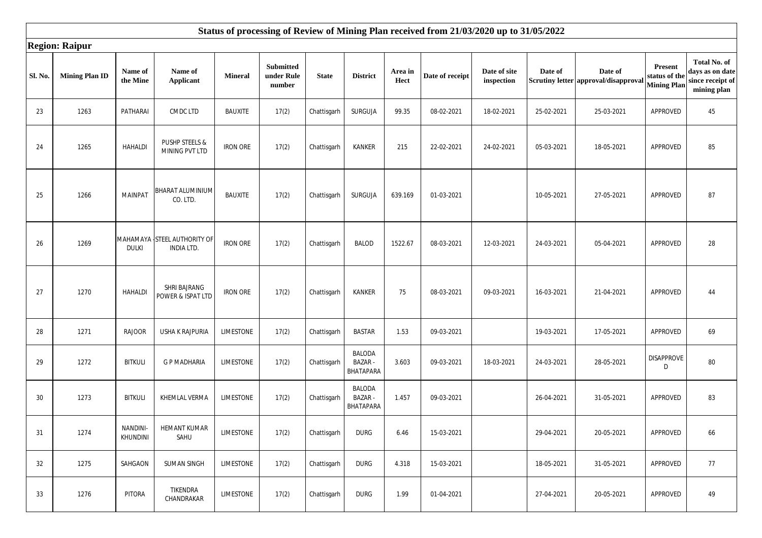|         | <b>Region: Raipur</b> |                      |                                                  |                  |                                          |              |                                             |                 |                 |                            |            |                                                 |                                                      |                                                                    |
|---------|-----------------------|----------------------|--------------------------------------------------|------------------|------------------------------------------|--------------|---------------------------------------------|-----------------|-----------------|----------------------------|------------|-------------------------------------------------|------------------------------------------------------|--------------------------------------------------------------------|
| Sl. No. | <b>Mining Plan ID</b> | Name of<br>the Mine  | Name of<br><b>Applicant</b>                      | <b>Mineral</b>   | <b>Submitted</b><br>under Rule<br>number | <b>State</b> | <b>District</b>                             | Area in<br>Hect | Date of receipt | Date of site<br>inspection | Date of    | Date of<br>Scrutiny letter approval/disapproval | <b>Present</b><br>status of th<br><b>Mining Plan</b> | Total No. of<br>days as on date<br>since receipt of<br>mining plan |
| 23      | 1263                  | PATHARAI             | CMDC LTD                                         | <b>BAUXITE</b>   | 17(2)                                    | Chattisgarh  | <b>SURGUJA</b>                              | 99.35           | 08-02-2021      | 18-02-2021                 | 25-02-2021 | 25-03-2021                                      | APPROVED                                             | 45                                                                 |
| 24      | 1265                  | <b>HAHALDI</b>       | PUSHP STEELS &<br>MINING PVT LTD                 | <b>IRON ORE</b>  | 17(2)                                    | Chattisgarh  | <b>KANKER</b>                               | 215             | 22-02-2021      | 24-02-2021                 | 05-03-2021 | 18-05-2021                                      | APPROVED                                             | 85                                                                 |
| 25      | 1266                  | <b>MAINPAT</b>       | BHARAT ALUMINIUM<br>CO. LTD.                     | <b>BAUXITE</b>   | 17(2)                                    | Chattisgarh  | SURGUJA                                     | 639.169         | 01-03-2021      |                            | 10-05-2021 | 27-05-2021                                      | APPROVED                                             | 87                                                                 |
| 26      | 1269                  | <b>DULKI</b>         | MAHAMAYA STEEL AUTHORITY OF<br><b>INDIA LTD.</b> | <b>IRON ORE</b>  | 17(2)                                    | Chattisgarh  | <b>BALOD</b>                                | 1522.67         | 08-03-2021      | 12-03-2021                 | 24-03-2021 | 05-04-2021                                      | APPROVED                                             | 28                                                                 |
| 27      | 1270                  | <b>HAHALDI</b>       | SHRI BAJRANG<br>POWER & ISPAT LTD                | <b>IRON ORE</b>  | 17(2)                                    | Chattisgarh  | <b>KANKER</b>                               | 75              | 08-03-2021      | 09-03-2021                 | 16-03-2021 | 21-04-2021                                      | APPROVED                                             | 44                                                                 |
| 28      | 1271                  | <b>RAJOOR</b>        | <b>USHA K RAJPURIA</b>                           | <b>LIMESTONE</b> | 17(2)                                    | Chattisgarh  | <b>BASTAR</b>                               | 1.53            | 09-03-2021      |                            | 19-03-2021 | 17-05-2021                                      | APPROVED                                             | 69                                                                 |
| 29      | 1272                  | <b>BITKULI</b>       | <b>G P MADHARIA</b>                              | LIMESTONE        | 17(2)                                    | Chattisgarh  | <b>BALODA</b><br><b>BAZAR-</b><br>BHATAPARA | 3.603           | 09-03-2021      | 18-03-2021                 | 24-03-2021 | 28-05-2021                                      | <b>DISAPPROVE</b><br>D                               | 80                                                                 |
| 30      | 1273                  | <b>BITKULI</b>       | KHEMLAL VERMA                                    | <b>LIMESTONE</b> | 17(2)                                    | Chattisgarh  | <b>BALODA</b><br><b>BAZAR-</b><br>BHATAPARA | 1.457           | 09-03-2021      |                            | 26-04-2021 | 31-05-2021                                      | APPROVED                                             | 83                                                                 |
| 31      | 1274                  | NANDINI-<br>KHUNDINI | <b>HEMANT KUMAR</b><br>SAHU                      | <b>LIMESTONE</b> | 17(2)                                    | Chattisgarh  | <b>DURG</b>                                 | 6.46            | 15-03-2021      |                            | 29-04-2021 | 20-05-2021                                      | APPROVED                                             | 66                                                                 |
| 32      | 1275                  | SAHGAON              | <b>SUMAN SINGH</b>                               | <b>LIMESTONE</b> | 17(2)                                    | Chattisgarh  | <b>DURG</b>                                 | 4.318           | 15-03-2021      |                            | 18-05-2021 | 31-05-2021                                      | APPROVED                                             | 77                                                                 |
| 33      | 1276                  | PITORA               | TIKENDRA<br>CHANDRAKAR                           | LIMESTONE        | 17(2)                                    | Chattisgarh  | <b>DURG</b>                                 | 1.99            | 01-04-2021      |                            | 27-04-2021 | 20-05-2021                                      | APPROVED                                             | 49                                                                 |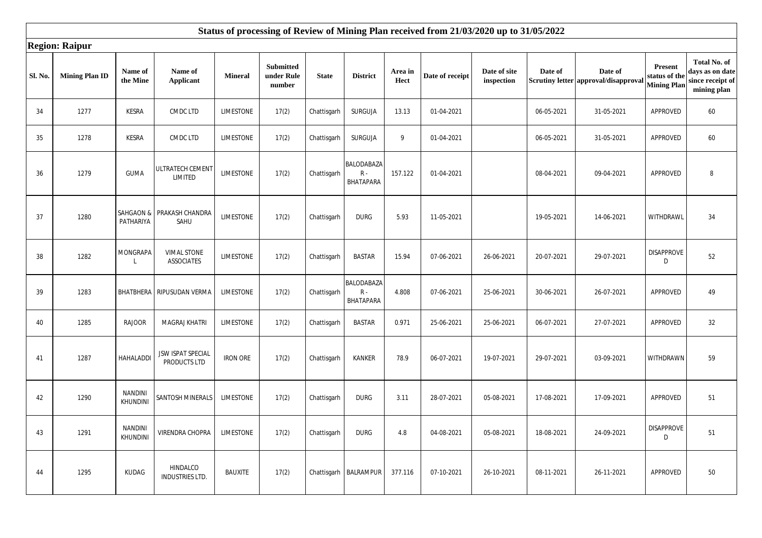|         | <b>Region: Raipur</b> |                            |                                         |                  |                                          |              |                                        |                 |                 |                            |            |                                                 |                                                       |                                                                    |
|---------|-----------------------|----------------------------|-----------------------------------------|------------------|------------------------------------------|--------------|----------------------------------------|-----------------|-----------------|----------------------------|------------|-------------------------------------------------|-------------------------------------------------------|--------------------------------------------------------------------|
| Sl. No. | <b>Mining Plan ID</b> | Name of<br>the Mine        | Name of<br><b>Applicant</b>             | <b>Mineral</b>   | <b>Submitted</b><br>under Rule<br>number | <b>State</b> | <b>District</b>                        | Area in<br>Hect | Date of receipt | Date of site<br>inspection | Date of    | Date of<br>Scrutiny letter approval/disapproval | <b>Present</b><br>status of the<br><b>Mining Plan</b> | Total No. of<br>days as on date<br>since receipt of<br>mining plan |
| 34      | 1277                  | KESRA                      | CMDC LTD                                | <b>LIMESTONE</b> | 17(2)                                    | Chattisgarh  | SURGUJA                                | 13.13           | 01-04-2021      |                            | 06-05-2021 | 31-05-2021                                      | APPROVED                                              | 60                                                                 |
| 35      | 1278                  | KESRA                      | CMDC LTD                                | <b>LIMESTONE</b> | 17(2)                                    | Chattisgarh  | SURGUJA                                | 9               | 01-04-2021      |                            | 06-05-2021 | 31-05-2021                                      | APPROVED                                              | 60                                                                 |
| 36      | 1279                  | <b>GUMA</b>                | ULTRATECH CEMENT<br>LIMITED             | <b>LIMESTONE</b> | 17(2)                                    | Chattisgarh  | BALODABAZA<br>${\sf R}$ -<br>BHATAPARA | 157.122         | 01-04-2021      |                            | 08-04-2021 | 09-04-2021                                      | APPROVED                                              | 8                                                                  |
| 37      | 1280                  | SAHGAON &<br>PATHARIYA     | PRAKASH CHANDRA<br>SAHU                 | LIMESTONE        | 17(2)                                    | Chattisgarh  | <b>DURG</b>                            | 5.93            | 11-05-2021      |                            | 19-05-2021 | 14-06-2021                                      | WITHDRAWL                                             | 34                                                                 |
| 38      | 1282                  | MONGRAPA                   | <b>VIMAL STONE</b><br><b>ASSOCIATES</b> | <b>LIMESTONE</b> | 17(2)                                    | Chattisgarh  | <b>BASTAR</b>                          | 15.94           | 07-06-2021      | 26-06-2021                 | 20-07-2021 | 29-07-2021                                      | <b>DISAPPROVE</b><br>D                                | 52                                                                 |
| 39      | 1283                  |                            | BHATBHERA RIPUSUDAN VERMA               | <b>LIMESTONE</b> | 17(2)                                    | Chattisgarh  | BALODABAZA<br>$R -$<br>BHATAPARA       | 4.808           | 07-06-2021      | 25-06-2021                 | 30-06-2021 | 26-07-2021                                      | APPROVED                                              | 49                                                                 |
| 40      | 1285                  | <b>RAJOOR</b>              | <b>MAGRAJ KHATRI</b>                    | <b>LIMESTONE</b> | 17(2)                                    | Chattisgarh  | <b>BASTAR</b>                          | 0.971           | 25-06-2021      | 25-06-2021                 | 06-07-2021 | 27-07-2021                                      | APPROVED                                              | 32                                                                 |
| 41      | 1287                  | HAHALADDI                  | JSW ISPAT SPECIAL<br>PRODUCTS LTD       | <b>IRON ORE</b>  | 17(2)                                    | Chattisgarh  | <b>KANKER</b>                          | 78.9            | 06-07-2021      | 19-07-2021                 | 29-07-2021 | 03-09-2021                                      | WITHDRAWN                                             | 59                                                                 |
| 42      | 1290                  | <b>NANDINI</b><br>KHUNDINI | SANTOSH MINERALS                        | LIMESTONE        | 17(2)                                    | Chattisgarh  | <b>DURG</b>                            | 3.11            | 28-07-2021      | 05-08-2021                 | 17-08-2021 | 17-09-2021                                      | APPROVED                                              | 51                                                                 |
| 43      | 1291                  | <b>NANDINI</b><br>KHUNDINI | VIRENDRA CHOPRA                         | LIMESTONE        | 17(2)                                    | Chattisgarh  | <b>DURG</b>                            | 4.8             | 04-08-2021      | 05-08-2021                 | 18-08-2021 | 24-09-2021                                      | <b>DISAPPROVE</b><br>D                                | 51                                                                 |
| 44      | 1295                  | KUDAG                      | HINDALCO<br><b>INDUSTRIES LTD.</b>      | <b>BAUXITE</b>   | 17(2)                                    |              | Chattisgarh   BALRAMPUR                | 377.116         | 07-10-2021      | 26-10-2021                 | 08-11-2021 | 26-11-2021                                      | APPROVED                                              | 50                                                                 |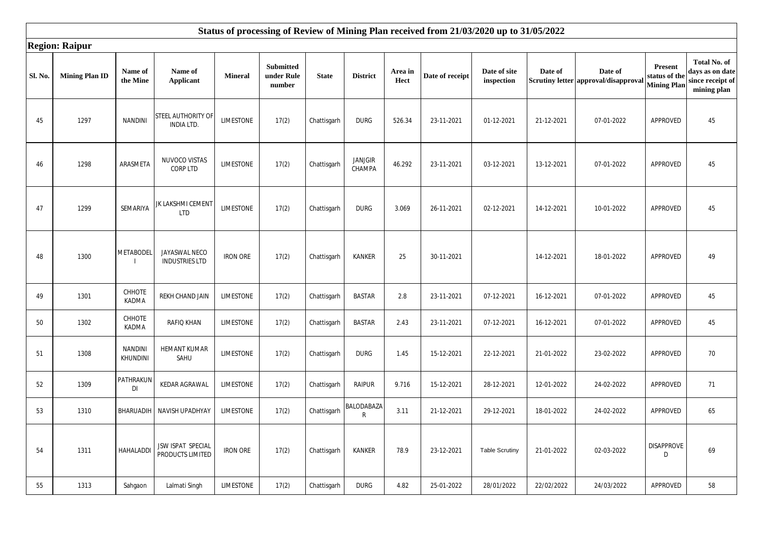|         | <b>Region: Raipur</b> |                                   |                                         |                  |                                          |              |                            |                 |                 |                            |            |                                                 |                                                      |                                                                    |
|---------|-----------------------|-----------------------------------|-----------------------------------------|------------------|------------------------------------------|--------------|----------------------------|-----------------|-----------------|----------------------------|------------|-------------------------------------------------|------------------------------------------------------|--------------------------------------------------------------------|
| Sl. No. | <b>Mining Plan ID</b> | Name of<br>the Mine               | Name of<br><b>Applicant</b>             | <b>Mineral</b>   | <b>Submitted</b><br>under Rule<br>number | <b>State</b> | <b>District</b>            | Area in<br>Hect | Date of receipt | Date of site<br>inspection | Date of    | Date of<br>Scrutiny letter approval/disapproval | <b>Present</b><br>status of th<br><b>Mining Plan</b> | Total No. of<br>days as on date<br>since receipt of<br>mining plan |
| 45      | 1297                  | <b>NANDINI</b>                    | STEEL AUTHORITY OF<br><b>INDIA LTD.</b> | LIMESTONE        | 17(2)                                    | Chattisgarh  | <b>DURG</b>                | 526.34          | 23-11-2021      | 01-12-2021                 | 21-12-2021 | 07-01-2022                                      | APPROVED                                             | 45                                                                 |
| 46      | 1298                  | ARASMETA                          | NUVOCO VISTAS<br>CORP LTD               | LIMESTONE        | 17(2)                                    | Chattisgarh  | <b>JANJGIR</b><br>CHAMPA   | 46.292          | 23-11-2021      | 03-12-2021                 | 13-12-2021 | 07-01-2022                                      | APPROVED                                             | 45                                                                 |
| 47      | 1299                  | SEMARIYA                          | JK LAKSHMI CEMENT<br><b>LTD</b>         | LIMESTONE        | 17(2)                                    | Chattisgarh  | <b>DURG</b>                | 3.069           | 26-11-2021      | 02-12-2021                 | 14-12-2021 | 10-01-2022                                      | APPROVED                                             | 45                                                                 |
| 48      | 1300                  | <b>METABODEL</b>                  | JAYASWAL NECO<br><b>INDUSTRIES LTD</b>  | <b>IRON ORE</b>  | 17(2)                                    | Chattisgarh  | KANKER                     | 25              | 30-11-2021      |                            | 14-12-2021 | 18-01-2022                                      | APPROVED                                             | 49                                                                 |
| 49      | 1301                  | CHHOTE<br>KADMA                   | REKH CHAND JAIN                         | LIMESTONE        | 17(2)                                    | Chattisgarh  | <b>BASTAR</b>              | 2.8             | 23-11-2021      | 07-12-2021                 | 16-12-2021 | 07-01-2022                                      | APPROVED                                             | 45                                                                 |
| 50      | 1302                  | CHHOTE<br>KADMA                   | <b>RAFIQ KHAN</b>                       | <b>LIMESTONE</b> | 17(2)                                    | Chattisgarh  | <b>BASTAR</b>              | 2.43            | 23-11-2021      | 07-12-2021                 | 16-12-2021 | 07-01-2022                                      | APPROVED                                             | 45                                                                 |
| 51      | 1308                  | <b>NANDINI</b><br><b>KHUNDINI</b> | <b>HEMANT KUMAR</b><br>SAHU             | <b>LIMESTONE</b> | 17(2)                                    | Chattisgarh  | <b>DURG</b>                | 1.45            | 15-12-2021      | 22-12-2021                 | 21-01-2022 | 23-02-2022                                      | APPROVED                                             | 70                                                                 |
| 52      | 1309                  | PATHRAKUN<br>DI                   | KEDAR AGRAWAL                           | LIMESTONE        | 17(2)                                    | Chattisgarh  | <b>RAIPUR</b>              | 9.716           | 15-12-2021      | 28-12-2021                 | 12-01-2022 | 24-02-2022                                      | APPROVED                                             | 71                                                                 |
| 53      | 1310                  | BHARUADIH                         | NAVISH UPADHYAY                         | <b>LIMESTONE</b> | 17(2)                                    | Chattisgarh  | BALODABAZA<br>$\mathsf{R}$ | 3.11            | 21-12-2021      | 29-12-2021                 | 18-01-2022 | 24-02-2022                                      | APPROVED                                             | 65                                                                 |
| 54      | 1311                  | HAHALADDI                         | JSW ISPAT SPECIAL<br>PRODUCTS LIMITED   | <b>IRON ORE</b>  | 17(2)                                    | Chattisgarh  | <b>KANKER</b>              | 78.9            | 23-12-2021      | <b>Table Scrutiny</b>      | 21-01-2022 | 02-03-2022                                      | <b>DISAPPROVE</b><br>D                               | 69                                                                 |
| 55      | 1313                  | Sahgaon                           | Lalmati Singh                           | <b>LIMESTONE</b> | 17(2)                                    | Chattisgarh  | <b>DURG</b>                | 4.82            | 25-01-2022      | 28/01/2022                 | 22/02/2022 | 24/03/2022                                      | APPROVED                                             | 58                                                                 |